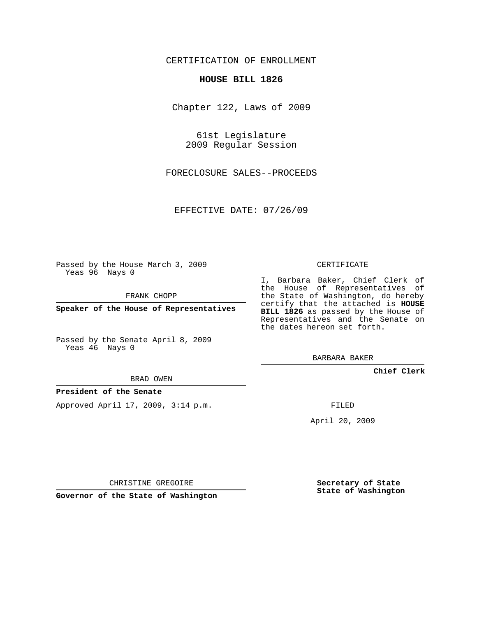## CERTIFICATION OF ENROLLMENT

#### **HOUSE BILL 1826**

Chapter 122, Laws of 2009

61st Legislature 2009 Regular Session

FORECLOSURE SALES--PROCEEDS

EFFECTIVE DATE: 07/26/09

Passed by the House March 3, 2009 Yeas 96 Nays 0

FRANK CHOPP

**Speaker of the House of Representatives**

Passed by the Senate April 8, 2009 Yeas 46 Nays 0

BRAD OWEN

### **President of the Senate**

Approved April 17, 2009, 3:14 p.m.

CERTIFICATE

I, Barbara Baker, Chief Clerk of the House of Representatives of the State of Washington, do hereby certify that the attached is **HOUSE BILL 1826** as passed by the House of Representatives and the Senate on the dates hereon set forth.

BARBARA BAKER

**Chief Clerk**

FILED

April 20, 2009

**Secretary of State State of Washington**

CHRISTINE GREGOIRE

**Governor of the State of Washington**